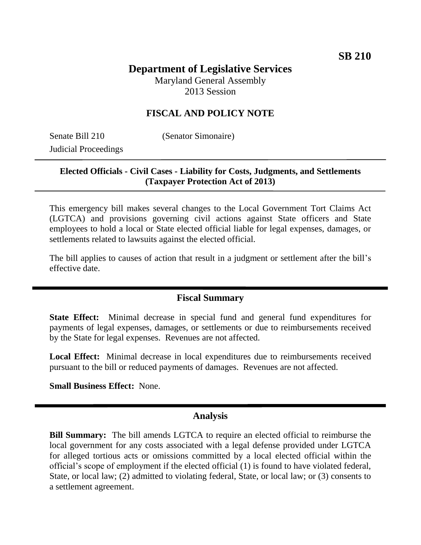# **Department of Legislative Services**

Maryland General Assembly 2013 Session

### **FISCAL AND POLICY NOTE**

Senate Bill 210 (Senator Simonaire) Judicial Proceedings

#### **Elected Officials - Civil Cases - Liability for Costs, Judgments, and Settlements (Taxpayer Protection Act of 2013)**

This emergency bill makes several changes to the Local Government Tort Claims Act (LGTCA) and provisions governing civil actions against State officers and State employees to hold a local or State elected official liable for legal expenses, damages, or settlements related to lawsuits against the elected official.

The bill applies to causes of action that result in a judgment or settlement after the bill's effective date.

#### **Fiscal Summary**

**State Effect:** Minimal decrease in special fund and general fund expenditures for payments of legal expenses, damages, or settlements or due to reimbursements received by the State for legal expenses. Revenues are not affected.

**Local Effect:** Minimal decrease in local expenditures due to reimbursements received pursuant to the bill or reduced payments of damages. Revenues are not affected.

**Small Business Effect:** None.

#### **Analysis**

**Bill Summary:** The bill amends LGTCA to require an elected official to reimburse the local government for any costs associated with a legal defense provided under LGTCA for alleged tortious acts or omissions committed by a local elected official within the official's scope of employment if the elected official (1) is found to have violated federal, State, or local law; (2) admitted to violating federal, State, or local law; or (3) consents to a settlement agreement.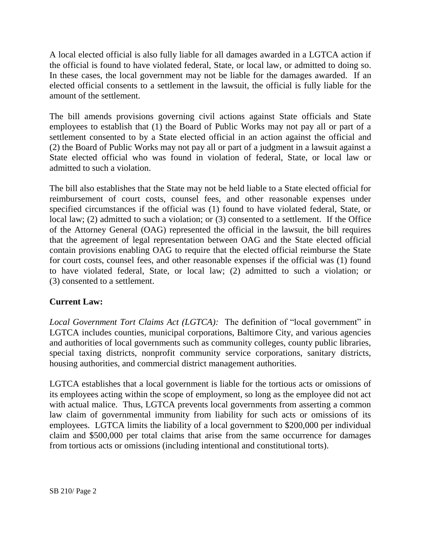A local elected official is also fully liable for all damages awarded in a LGTCA action if the official is found to have violated federal, State, or local law, or admitted to doing so. In these cases, the local government may not be liable for the damages awarded. If an elected official consents to a settlement in the lawsuit, the official is fully liable for the amount of the settlement.

The bill amends provisions governing civil actions against State officials and State employees to establish that (1) the Board of Public Works may not pay all or part of a settlement consented to by a State elected official in an action against the official and (2) the Board of Public Works may not pay all or part of a judgment in a lawsuit against a State elected official who was found in violation of federal, State, or local law or admitted to such a violation.

The bill also establishes that the State may not be held liable to a State elected official for reimbursement of court costs, counsel fees, and other reasonable expenses under specified circumstances if the official was (1) found to have violated federal, State, or local law; (2) admitted to such a violation; or (3) consented to a settlement. If the Office of the Attorney General (OAG) represented the official in the lawsuit, the bill requires that the agreement of legal representation between OAG and the State elected official contain provisions enabling OAG to require that the elected official reimburse the State for court costs, counsel fees, and other reasonable expenses if the official was (1) found to have violated federal, State, or local law; (2) admitted to such a violation; or (3) consented to a settlement.

## **Current Law:**

*Local Government Tort Claims Act (LGTCA):* The definition of "local government" in LGTCA includes counties, municipal corporations, Baltimore City, and various agencies and authorities of local governments such as community colleges, county public libraries, special taxing districts, nonprofit community service corporations, sanitary districts, housing authorities, and commercial district management authorities.

LGTCA establishes that a local government is liable for the tortious acts or omissions of its employees acting within the scope of employment, so long as the employee did not act with actual malice. Thus, LGTCA prevents local governments from asserting a common law claim of governmental immunity from liability for such acts or omissions of its employees. LGTCA limits the liability of a local government to \$200,000 per individual claim and \$500,000 per total claims that arise from the same occurrence for damages from tortious acts or omissions (including intentional and constitutional torts).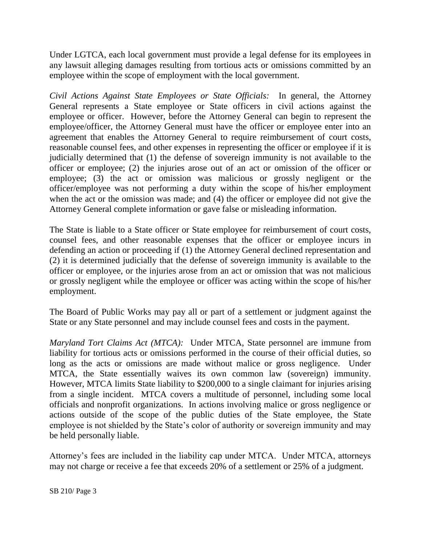Under LGTCA, each local government must provide a legal defense for its employees in any lawsuit alleging damages resulting from tortious acts or omissions committed by an employee within the scope of employment with the local government.

*Civil Actions Against State Employees or State Officials:* In general, the Attorney General represents a State employee or State officers in civil actions against the employee or officer. However, before the Attorney General can begin to represent the employee/officer, the Attorney General must have the officer or employee enter into an agreement that enables the Attorney General to require reimbursement of court costs, reasonable counsel fees, and other expenses in representing the officer or employee if it is judicially determined that (1) the defense of sovereign immunity is not available to the officer or employee; (2) the injuries arose out of an act or omission of the officer or employee; (3) the act or omission was malicious or grossly negligent or the officer/employee was not performing a duty within the scope of his/her employment when the act or the omission was made; and (4) the officer or employee did not give the Attorney General complete information or gave false or misleading information.

The State is liable to a State officer or State employee for reimbursement of court costs, counsel fees, and other reasonable expenses that the officer or employee incurs in defending an action or proceeding if (1) the Attorney General declined representation and (2) it is determined judicially that the defense of sovereign immunity is available to the officer or employee, or the injuries arose from an act or omission that was not malicious or grossly negligent while the employee or officer was acting within the scope of his/her employment.

The Board of Public Works may pay all or part of a settlement or judgment against the State or any State personnel and may include counsel fees and costs in the payment.

*Maryland Tort Claims Act (MTCA):* Under MTCA, State personnel are immune from liability for tortious acts or omissions performed in the course of their official duties, so long as the acts or omissions are made without malice or gross negligence. Under MTCA, the State essentially waives its own common law (sovereign) immunity. However, MTCA limits State liability to \$200,000 to a single claimant for injuries arising from a single incident. MTCA covers a multitude of personnel, including some local officials and nonprofit organizations. In actions involving malice or gross negligence or actions outside of the scope of the public duties of the State employee, the State employee is not shielded by the State's color of authority or sovereign immunity and may be held personally liable.

Attorney's fees are included in the liability cap under MTCA. Under MTCA, attorneys may not charge or receive a fee that exceeds 20% of a settlement or 25% of a judgment.